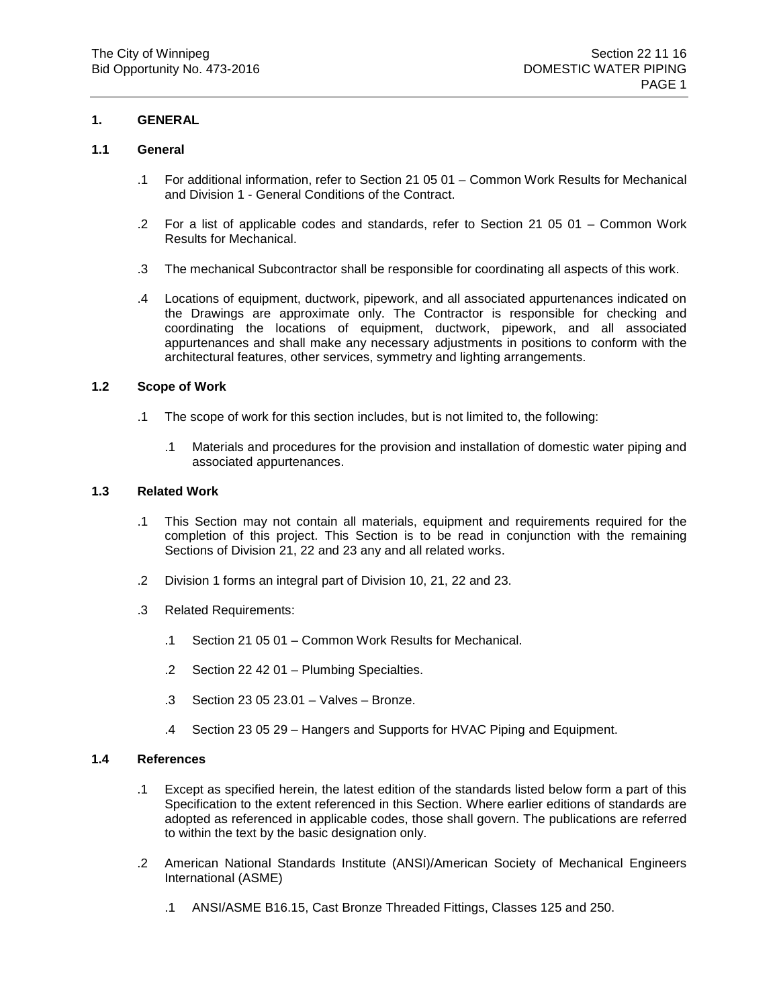## **1. GENERAL**

## **1.1 General**

- .1 For additional information, refer to Section 21 05 01 Common Work Results for Mechanical and Division 1 - General Conditions of the Contract.
- .2 For a list of applicable codes and standards, refer to Section 21 05 01 Common Work Results for Mechanical.
- .3 The mechanical Subcontractor shall be responsible for coordinating all aspects of this work.
- .4 Locations of equipment, ductwork, pipework, and all associated appurtenances indicated on the Drawings are approximate only. The Contractor is responsible for checking and coordinating the locations of equipment, ductwork, pipework, and all associated appurtenances and shall make any necessary adjustments in positions to conform with the architectural features, other services, symmetry and lighting arrangements.

#### **1.2 Scope of Work**

- .1 The scope of work for this section includes, but is not limited to, the following:
	- .1 Materials and procedures for the provision and installation of domestic water piping and associated appurtenances.

## **1.3 Related Work**

- .1 This Section may not contain all materials, equipment and requirements required for the completion of this project. This Section is to be read in conjunction with the remaining Sections of Division 21, 22 and 23 any and all related works.
- .2 Division 1 forms an integral part of Division 10, 21, 22 and 23.
- .3 Related Requirements:
	- .1 Section 21 05 01 Common Work Results for Mechanical.
	- .2 Section 22 42 01 Plumbing Specialties.
	- .3 Section 23 05 23.01 Valves Bronze.
	- .4 Section 23 05 29 Hangers and Supports for HVAC Piping and Equipment.

#### **1.4 References**

- .1 Except as specified herein, the latest edition of the standards listed below form a part of this Specification to the extent referenced in this Section. Where earlier editions of standards are adopted as referenced in applicable codes, those shall govern. The publications are referred to within the text by the basic designation only.
- .2 American National Standards Institute (ANSI)/American Society of Mechanical Engineers International (ASME)
	- .1 ANSI/ASME B16.15, Cast Bronze Threaded Fittings, Classes 125 and 250.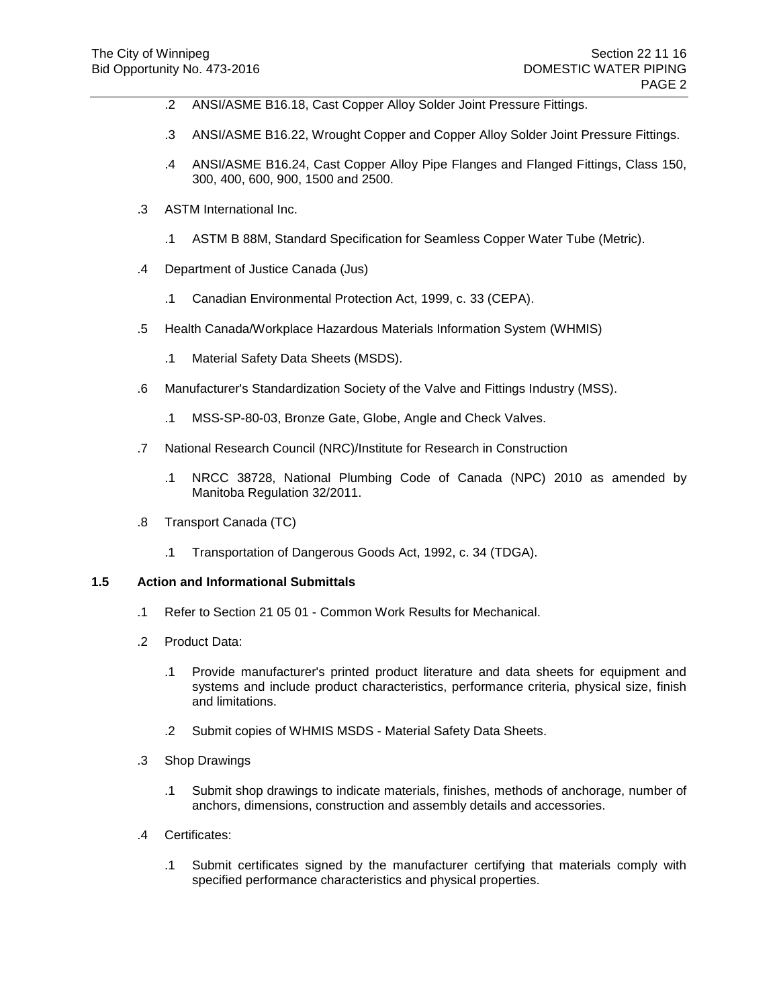- .2 ANSI/ASME B16.18, Cast Copper Alloy Solder Joint Pressure Fittings.
- .3 ANSI/ASME B16.22, Wrought Copper and Copper Alloy Solder Joint Pressure Fittings.
- .4 ANSI/ASME B16.24, Cast Copper Alloy Pipe Flanges and Flanged Fittings, Class 150, 300, 400, 600, 900, 1500 and 2500.
- .3 ASTM International Inc.
	- .1 ASTM B 88M, Standard Specification for Seamless Copper Water Tube (Metric).
- .4 Department of Justice Canada (Jus)
	- .1 Canadian Environmental Protection Act, 1999, c. 33 (CEPA).
- .5 Health Canada/Workplace Hazardous Materials Information System (WHMIS)
	- .1 Material Safety Data Sheets (MSDS).
- .6 Manufacturer's Standardization Society of the Valve and Fittings Industry (MSS).
	- .1 MSS-SP-80-03, Bronze Gate, Globe, Angle and Check Valves.
- .7 National Research Council (NRC)/Institute for Research in Construction
	- .1 NRCC 38728, National Plumbing Code of Canada (NPC) 2010 as amended by Manitoba Regulation 32/2011.
- .8 Transport Canada (TC)
	- .1 Transportation of Dangerous Goods Act, 1992, c. 34 (TDGA).

## **1.5 Action and Informational Submittals**

- .1 Refer to Section 21 05 01 Common Work Results for Mechanical.
- .2 Product Data:
	- .1 Provide manufacturer's printed product literature and data sheets for equipment and systems and include product characteristics, performance criteria, physical size, finish and limitations.
	- .2 Submit copies of WHMIS MSDS Material Safety Data Sheets.
- .3 Shop Drawings
	- .1 Submit shop drawings to indicate materials, finishes, methods of anchorage, number of anchors, dimensions, construction and assembly details and accessories.
- .4 Certificates:
	- .1 Submit certificates signed by the manufacturer certifying that materials comply with specified performance characteristics and physical properties.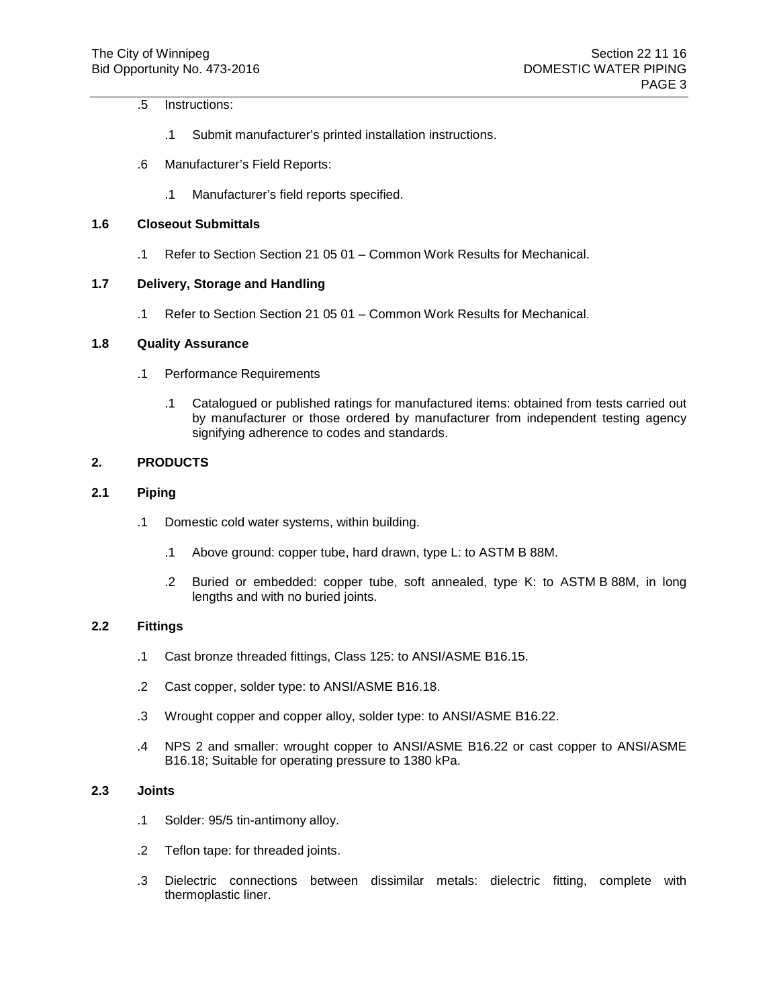## .5 Instructions:

- .1 Submit manufacturer's printed installation instructions.
- .6 Manufacturer's Field Reports:
	- .1 Manufacturer's field reports specified.

# **1.6 Closeout Submittals**

.1 Refer to Section Section 21 05 01 – Common Work Results for Mechanical.

## **1.7 Delivery, Storage and Handling**

.1 Refer to Section Section 21 05 01 – Common Work Results for Mechanical.

## **1.8 Quality Assurance**

- .1 Performance Requirements
	- .1 Catalogued or published ratings for manufactured items: obtained from tests carried out by manufacturer or those ordered by manufacturer from independent testing agency signifying adherence to codes and standards.

## **2. PRODUCTS**

#### **2.1 Piping**

- .1 Domestic cold water systems, within building.
	- .1 Above ground: copper tube, hard drawn, type L: to ASTM B 88M.
	- .2 Buried or embedded: copper tube, soft annealed, type K: to ASTM B 88M, in long lengths and with no buried joints.

## **2.2 Fittings**

- .1 Cast bronze threaded fittings, Class 125: to ANSI/ASME B16.15.
- .2 Cast copper, solder type: to ANSI/ASME B16.18.
- .3 Wrought copper and copper alloy, solder type: to ANSI/ASME B16.22.
- .4 NPS 2 and smaller: wrought copper to ANSI/ASME B16.22 or cast copper to ANSI/ASME B16.18; Suitable for operating pressure to 1380 kPa.

# **2.3 Joints**

- .1 Solder: 95/5 tin-antimony alloy.
- .2 Teflon tape: for threaded joints.
- .3 Dielectric connections between dissimilar metals: dielectric fitting, complete with thermoplastic liner.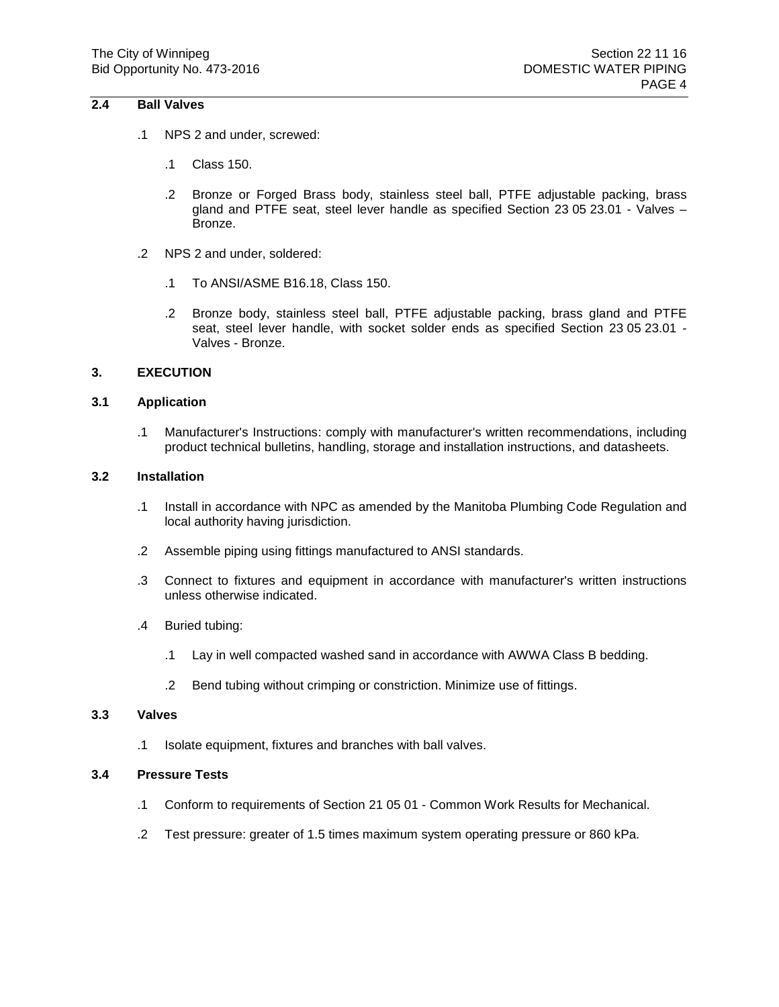## **2.4 Ball Valves**

- .1 NPS 2 and under, screwed:
	- .1 Class 150.
	- .2 Bronze or Forged Brass body, stainless steel ball, PTFE adjustable packing, brass gland and PTFE seat, steel lever handle as specified Section 23 05 23.01 - Valves – Bronze.
- .2 NPS 2 and under, soldered:
	- .1 To ANSI/ASME B16.18, Class 150.
	- .2 Bronze body, stainless steel ball, PTFE adjustable packing, brass gland and PTFE seat, steel lever handle, with socket solder ends as specified Section 23 05 23.01 - Valves - Bronze.

#### **3. EXECUTION**

## **3.1 Application**

.1 Manufacturer's Instructions: comply with manufacturer's written recommendations, including product technical bulletins, handling, storage and installation instructions, and datasheets.

#### **3.2 Installation**

- .1 Install in accordance with NPC as amended by the Manitoba Plumbing Code Regulation and local authority having jurisdiction.
- .2 Assemble piping using fittings manufactured to ANSI standards.
- .3 Connect to fixtures and equipment in accordance with manufacturer's written instructions unless otherwise indicated.
- .4 Buried tubing:
	- .1 Lay in well compacted washed sand in accordance with AWWA Class B bedding.
	- .2 Bend tubing without crimping or constriction. Minimize use of fittings.

#### **3.3 Valves**

.1 Isolate equipment, fixtures and branches with ball valves.

#### **3.4 Pressure Tests**

- .1 Conform to requirements of Section 21 05 01 Common Work Results for Mechanical.
- .2 Test pressure: greater of 1.5 times maximum system operating pressure or 860 kPa.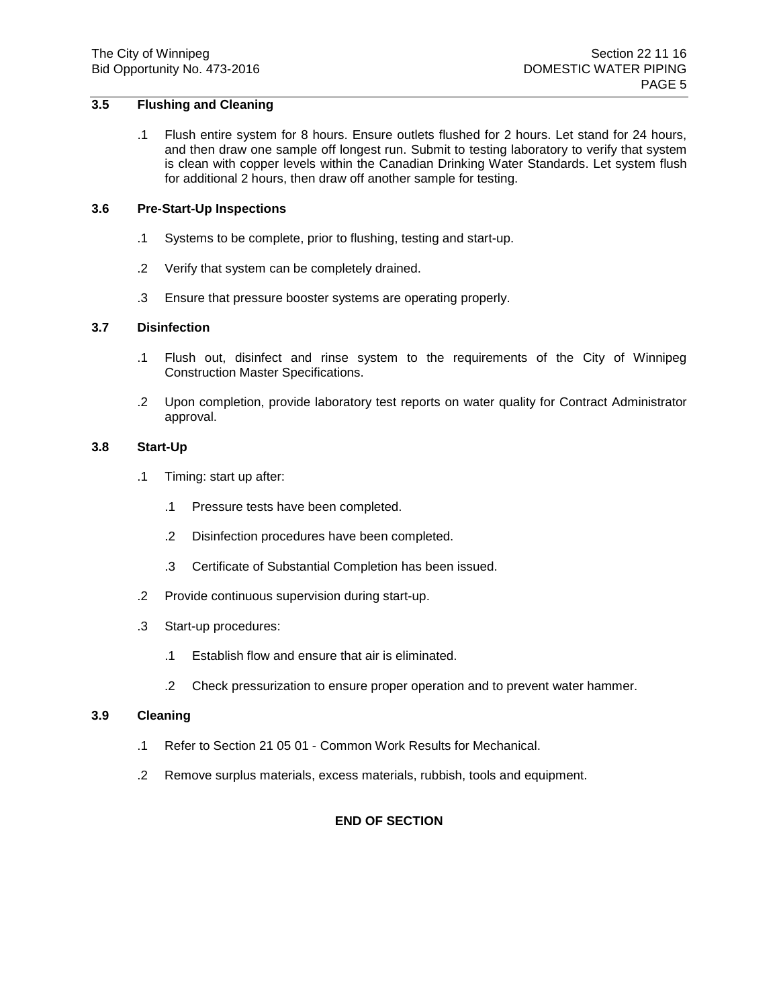# **3.5 Flushing and Cleaning**

.1 Flush entire system for 8 hours. Ensure outlets flushed for 2 hours. Let stand for 24 hours, and then draw one sample off longest run. Submit to testing laboratory to verify that system is clean with copper levels within the Canadian Drinking Water Standards. Let system flush for additional 2 hours, then draw off another sample for testing.

#### **3.6 Pre-Start-Up Inspections**

- .1 Systems to be complete, prior to flushing, testing and start-up.
- .2 Verify that system can be completely drained.
- .3 Ensure that pressure booster systems are operating properly.

#### **3.7 Disinfection**

- .1 Flush out, disinfect and rinse system to the requirements of the City of Winnipeg Construction Master Specifications.
- .2 Upon completion, provide laboratory test reports on water quality for Contract Administrator approval.

#### **3.8 Start-Up**

- .1 Timing: start up after:
	- .1 Pressure tests have been completed.
	- .2 Disinfection procedures have been completed.
	- .3 Certificate of Substantial Completion has been issued.
- .2 Provide continuous supervision during start-up.
- .3 Start-up procedures:
	- .1 Establish flow and ensure that air is eliminated.
	- .2 Check pressurization to ensure proper operation and to prevent water hammer.

#### **3.9 Cleaning**

- .1 Refer to Section 21 05 01 Common Work Results for Mechanical.
- .2 Remove surplus materials, excess materials, rubbish, tools and equipment.

## **END OF SECTION**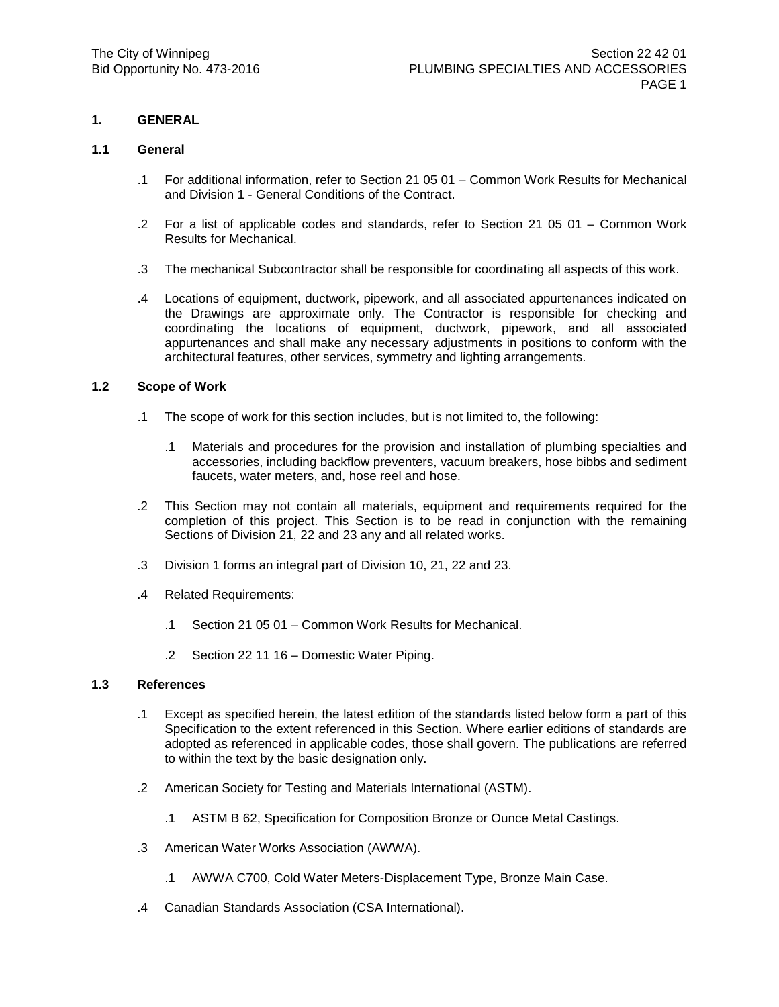## **1. GENERAL**

## **1.1 General**

- .1 For additional information, refer to Section 21 05 01 Common Work Results for Mechanical and Division 1 - General Conditions of the Contract.
- .2 For a list of applicable codes and standards, refer to Section 21 05 01 Common Work Results for Mechanical.
- .3 The mechanical Subcontractor shall be responsible for coordinating all aspects of this work.
- .4 Locations of equipment, ductwork, pipework, and all associated appurtenances indicated on the Drawings are approximate only. The Contractor is responsible for checking and coordinating the locations of equipment, ductwork, pipework, and all associated appurtenances and shall make any necessary adjustments in positions to conform with the architectural features, other services, symmetry and lighting arrangements.

#### **1.2 Scope of Work**

- .1 The scope of work for this section includes, but is not limited to, the following:
	- .1 Materials and procedures for the provision and installation of plumbing specialties and accessories, including backflow preventers, vacuum breakers, hose bibbs and sediment faucets, water meters, and, hose reel and hose.
- .2 This Section may not contain all materials, equipment and requirements required for the completion of this project. This Section is to be read in conjunction with the remaining Sections of Division 21, 22 and 23 any and all related works.
- .3 Division 1 forms an integral part of Division 10, 21, 22 and 23.
- .4 Related Requirements:
	- .1 Section 21 05 01 Common Work Results for Mechanical.
	- .2 Section 22 11 16 Domestic Water Piping.

#### **1.3 References**

- .1 Except as specified herein, the latest edition of the standards listed below form a part of this Specification to the extent referenced in this Section. Where earlier editions of standards are adopted as referenced in applicable codes, those shall govern. The publications are referred to within the text by the basic designation only.
- .2 American Society for Testing and Materials International (ASTM).
	- .1 ASTM B 62, Specification for Composition Bronze or Ounce Metal Castings.
- .3 American Water Works Association (AWWA).
	- .1 AWWA C700, Cold Water Meters-Displacement Type, Bronze Main Case.
- .4 Canadian Standards Association (CSA International).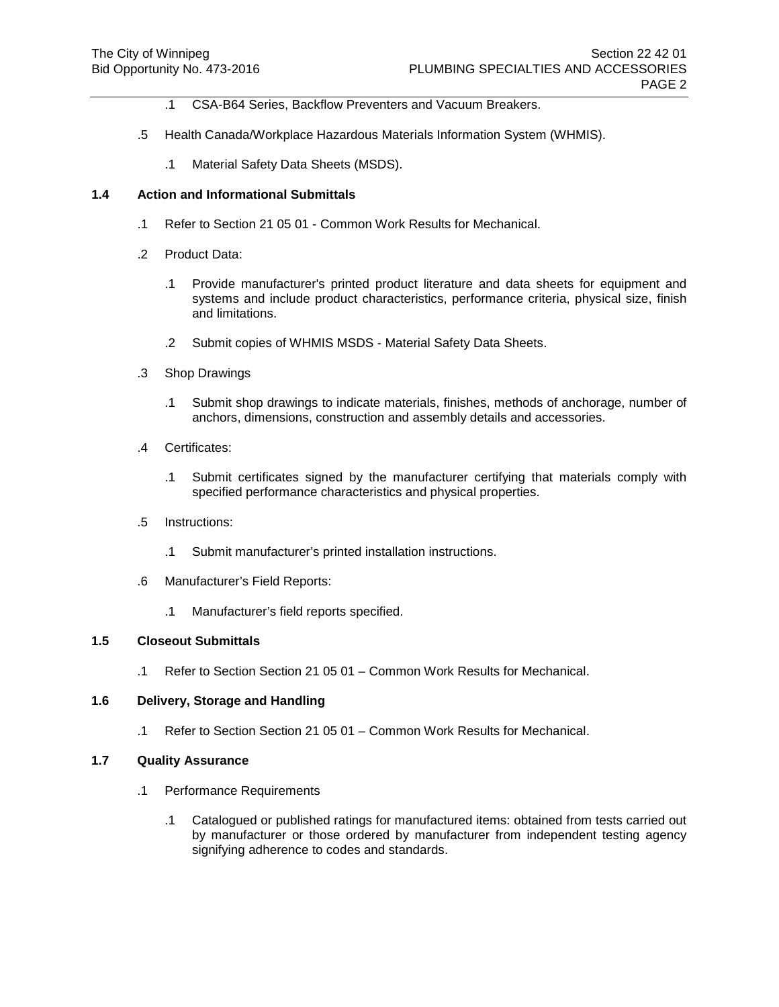- .1 CSA-B64 Series, Backflow Preventers and Vacuum Breakers.
- .5 Health Canada/Workplace Hazardous Materials Information System (WHMIS).
	- .1 Material Safety Data Sheets (MSDS).

#### **1.4 Action and Informational Submittals**

- .1 Refer to Section 21 05 01 Common Work Results for Mechanical.
- .2 Product Data:
	- .1 Provide manufacturer's printed product literature and data sheets for equipment and systems and include product characteristics, performance criteria, physical size, finish and limitations.
	- .2 Submit copies of WHMIS MSDS Material Safety Data Sheets.
- .3 Shop Drawings
	- .1 Submit shop drawings to indicate materials, finishes, methods of anchorage, number of anchors, dimensions, construction and assembly details and accessories.
- .4 Certificates:
	- .1 Submit certificates signed by the manufacturer certifying that materials comply with specified performance characteristics and physical properties.
- .5 Instructions:
	- .1 Submit manufacturer's printed installation instructions.
- .6 Manufacturer's Field Reports:
	- .1 Manufacturer's field reports specified.

#### **1.5 Closeout Submittals**

.1 Refer to Section Section 21 05 01 – Common Work Results for Mechanical.

# **1.6 Delivery, Storage and Handling**

.1 Refer to Section Section 21 05 01 – Common Work Results for Mechanical.

#### **1.7 Quality Assurance**

- .1 Performance Requirements
	- .1 Catalogued or published ratings for manufactured items: obtained from tests carried out by manufacturer or those ordered by manufacturer from independent testing agency signifying adherence to codes and standards.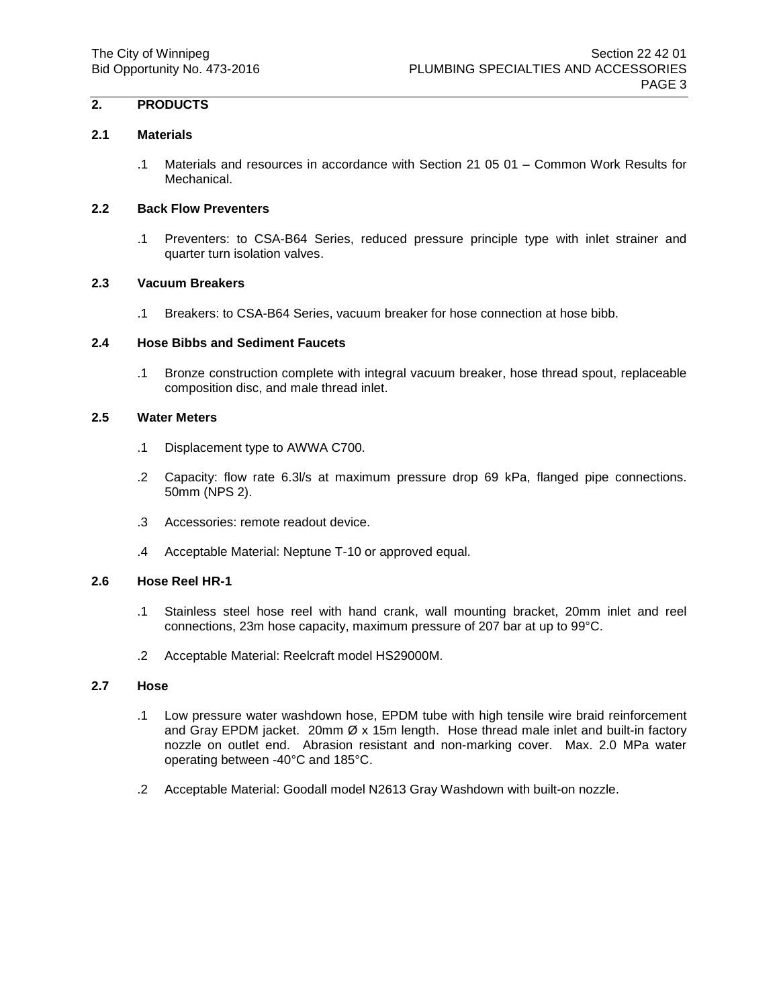# **2. PRODUCTS**

#### **2.1 Materials**

.1 Materials and resources in accordance with Section 21 05 01 – Common Work Results for Mechanical.

## **2.2 Back Flow Preventers**

.1 Preventers: to CSA-B64 Series, reduced pressure principle type with inlet strainer and quarter turn isolation valves.

## **2.3 Vacuum Breakers**

.1 Breakers: to CSA-B64 Series, vacuum breaker for hose connection at hose bibb.

## **2.4 Hose Bibbs and Sediment Faucets**

.1 Bronze construction complete with integral vacuum breaker, hose thread spout, replaceable composition disc, and male thread inlet.

## **2.5 Water Meters**

- .1 Displacement type to AWWA C700.
- .2 Capacity: flow rate 6.3l/s at maximum pressure drop 69 kPa, flanged pipe connections. 50mm (NPS 2).
- .3 Accessories: remote readout device.
- .4 Acceptable Material: Neptune T-10 or approved equal.

#### **2.6 Hose Reel HR-1**

- .1 Stainless steel hose reel with hand crank, wall mounting bracket, 20mm inlet and reel connections, 23m hose capacity, maximum pressure of 207 bar at up to 99°C.
- .2 Acceptable Material: Reelcraft model HS29000M.

## **2.7 Hose**

- .1 Low pressure water washdown hose, EPDM tube with high tensile wire braid reinforcement and Gray EPDM jacket. 20mm  $Øx$  15m length. Hose thread male inlet and built-in factory nozzle on outlet end. Abrasion resistant and non-marking cover. Max. 2.0 MPa water operating between -40°C and 185°C.
- .2 Acceptable Material: Goodall model N2613 Gray Washdown with built-on nozzle.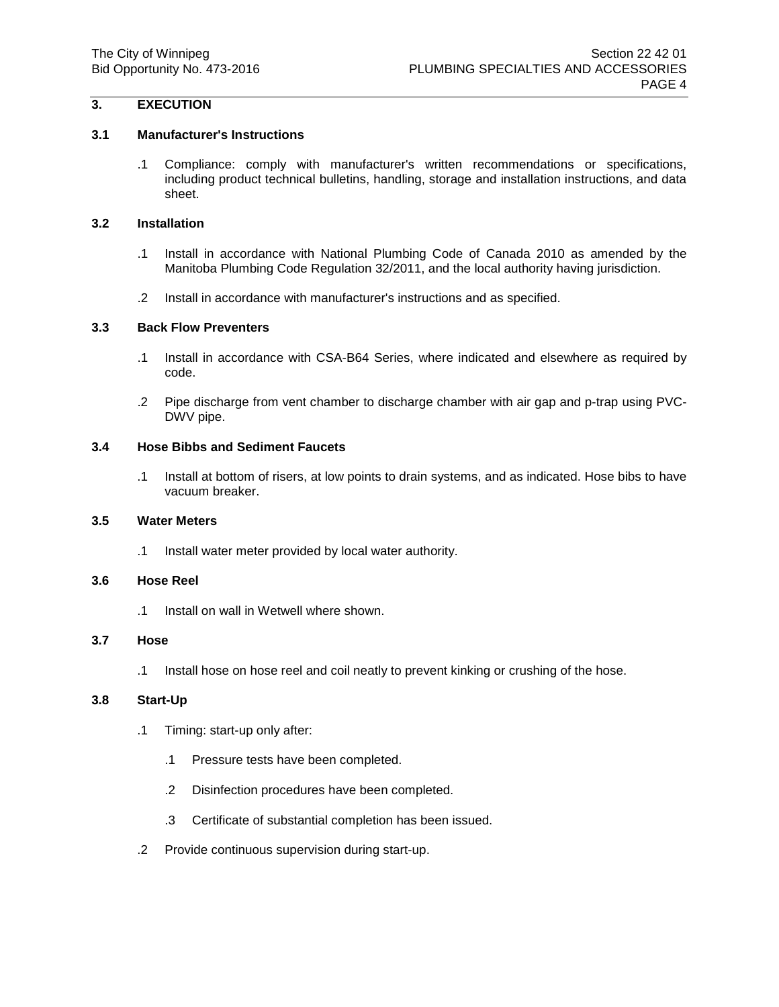# **3. EXECUTION**

## **3.1 Manufacturer's Instructions**

.1 Compliance: comply with manufacturer's written recommendations or specifications, including product technical bulletins, handling, storage and installation instructions, and data sheet.

## **3.2 Installation**

- .1 Install in accordance with National Plumbing Code of Canada 2010 as amended by the Manitoba Plumbing Code Regulation 32/2011, and the local authority having jurisdiction.
- .2 Install in accordance with manufacturer's instructions and as specified.

## **3.3 Back Flow Preventers**

- .1 Install in accordance with CSA-B64 Series, where indicated and elsewhere as required by code.
- .2 Pipe discharge from vent chamber to discharge chamber with air gap and p-trap using PVC-DWV pipe.

## **3.4 Hose Bibbs and Sediment Faucets**

.1 Install at bottom of risers, at low points to drain systems, and as indicated. Hose bibs to have vacuum breaker.

#### **3.5 Water Meters**

.1 Install water meter provided by local water authority.

## **3.6 Hose Reel**

.1 Install on wall in Wetwell where shown.

#### **3.7 Hose**

.1 Install hose on hose reel and coil neatly to prevent kinking or crushing of the hose.

#### **3.8 Start-Up**

- .1 Timing: start-up only after:
	- .1 Pressure tests have been completed.
	- .2 Disinfection procedures have been completed.
	- .3 Certificate of substantial completion has been issued.
- .2 Provide continuous supervision during start-up.